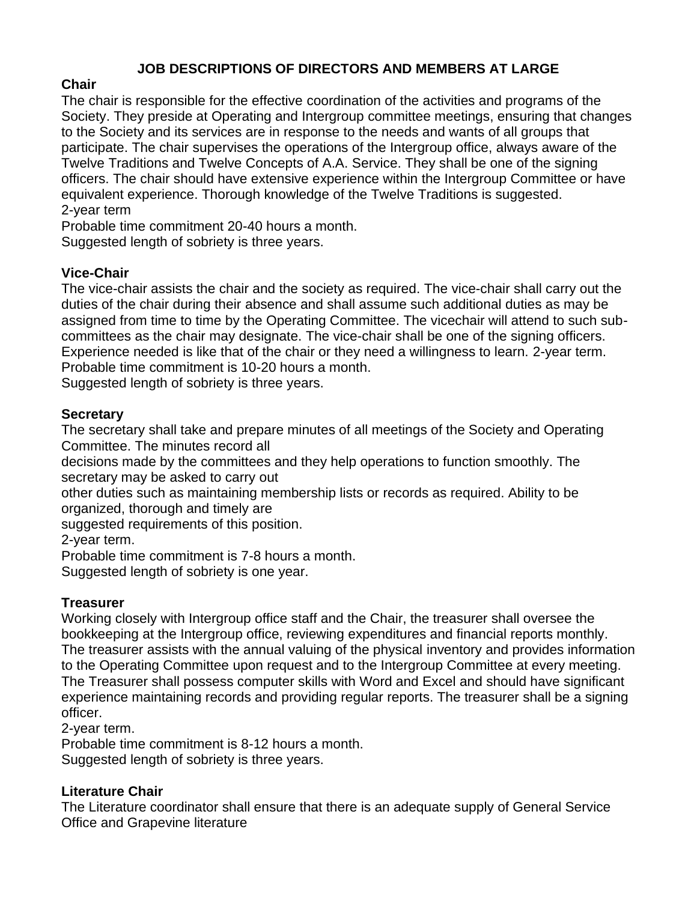# **JOB DESCRIPTIONS OF DIRECTORS AND MEMBERS AT LARGE**

## **Chair**

The chair is responsible for the effective coordination of the activities and programs of the Society. They preside at Operating and Intergroup committee meetings, ensuring that changes to the Society and its services are in response to the needs and wants of all groups that participate. The chair supervises the operations of the Intergroup office, always aware of the Twelve Traditions and Twelve Concepts of A.A. Service. They shall be one of the signing officers. The chair should have extensive experience within the Intergroup Committee or have equivalent experience. Thorough knowledge of the Twelve Traditions is suggested. 2-year term

Probable time commitment 20-40 hours a month.

Suggested length of sobriety is three years.

### **Vice-Chair**

The vice-chair assists the chair and the society as required. The vice-chair shall carry out the duties of the chair during their absence and shall assume such additional duties as may be assigned from time to time by the Operating Committee. The vicechair will attend to such subcommittees as the chair may designate. The vice-chair shall be one of the signing officers. Experience needed is like that of the chair or they need a willingness to learn. 2-year term. Probable time commitment is 10-20 hours a month.

Suggested length of sobriety is three years.

### **Secretary**

The secretary shall take and prepare minutes of all meetings of the Society and Operating Committee. The minutes record all

decisions made by the committees and they help operations to function smoothly. The secretary may be asked to carry out

other duties such as maintaining membership lists or records as required. Ability to be organized, thorough and timely are

suggested requirements of this position.

2-year term.

Probable time commitment is 7-8 hours a month.

Suggested length of sobriety is one year.

### **Treasurer**

Working closely with Intergroup office staff and the Chair, the treasurer shall oversee the bookkeeping at the Intergroup office, reviewing expenditures and financial reports monthly. The treasurer assists with the annual valuing of the physical inventory and provides information to the Operating Committee upon request and to the Intergroup Committee at every meeting. The Treasurer shall possess computer skills with Word and Excel and should have significant experience maintaining records and providing regular reports. The treasurer shall be a signing officer.

2-year term.

Probable time commitment is 8-12 hours a month. Suggested length of sobriety is three years.

### **Literature Chair**

The Literature coordinator shall ensure that there is an adequate supply of General Service Office and Grapevine literature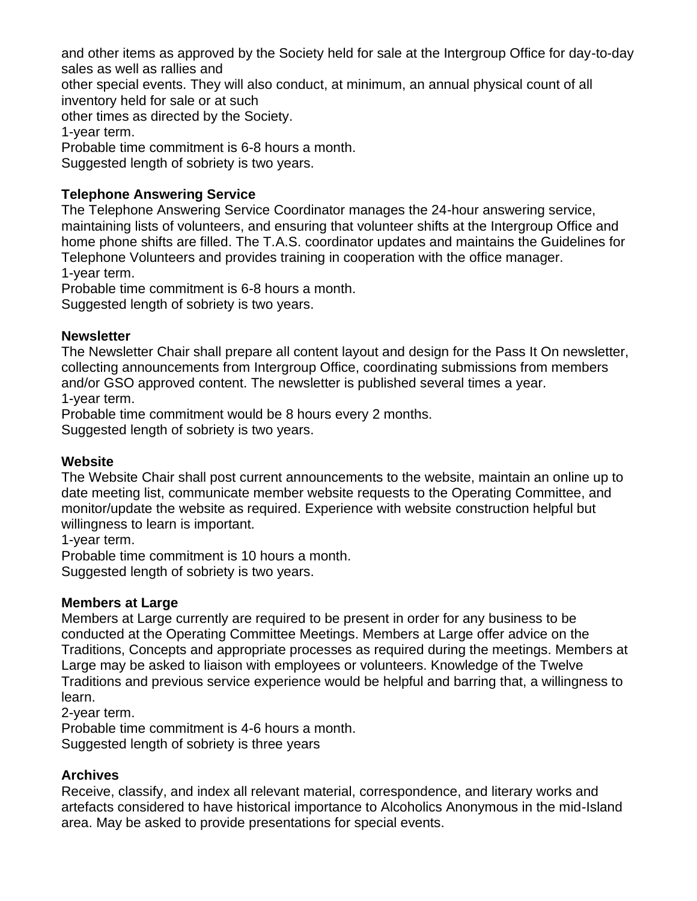and other items as approved by the Society held for sale at the Intergroup Office for day-to-day sales as well as rallies and

other special events. They will also conduct, at minimum, an annual physical count of all inventory held for sale or at such

other times as directed by the Society.

1-year term.

Probable time commitment is 6-8 hours a month.

Suggested length of sobriety is two years.

## **Telephone Answering Service**

The Telephone Answering Service Coordinator manages the 24-hour answering service, maintaining lists of volunteers, and ensuring that volunteer shifts at the Intergroup Office and home phone shifts are filled. The T.A.S. coordinator updates and maintains the Guidelines for Telephone Volunteers and provides training in cooperation with the office manager. 1-year term.

Probable time commitment is 6-8 hours a month.

Suggested length of sobriety is two years.

### **Newsletter**

The Newsletter Chair shall prepare all content layout and design for the Pass It On newsletter, collecting announcements from Intergroup Office, coordinating submissions from members and/or GSO approved content. The newsletter is published several times a year. 1-year term.

Probable time commitment would be 8 hours every 2 months.

Suggested length of sobriety is two years.

### **Website**

The Website Chair shall post current announcements to the website, maintain an online up to date meeting list, communicate member website requests to the Operating Committee, and monitor/update the website as required. Experience with website construction helpful but willingness to learn is important.

1-year term.

Probable time commitment is 10 hours a month. Suggested length of sobriety is two years.

### **Members at Large**

Members at Large currently are required to be present in order for any business to be conducted at the Operating Committee Meetings. Members at Large offer advice on the Traditions, Concepts and appropriate processes as required during the meetings. Members at Large may be asked to liaison with employees or volunteers. Knowledge of the Twelve Traditions and previous service experience would be helpful and barring that, a willingness to learn.

2-year term.

Probable time commitment is 4-6 hours a month.

Suggested length of sobriety is three years

# **Archives**

Receive, classify, and index all relevant material, correspondence, and literary works and artefacts considered to have historical importance to Alcoholics Anonymous in the mid-Island area. May be asked to provide presentations for special events.